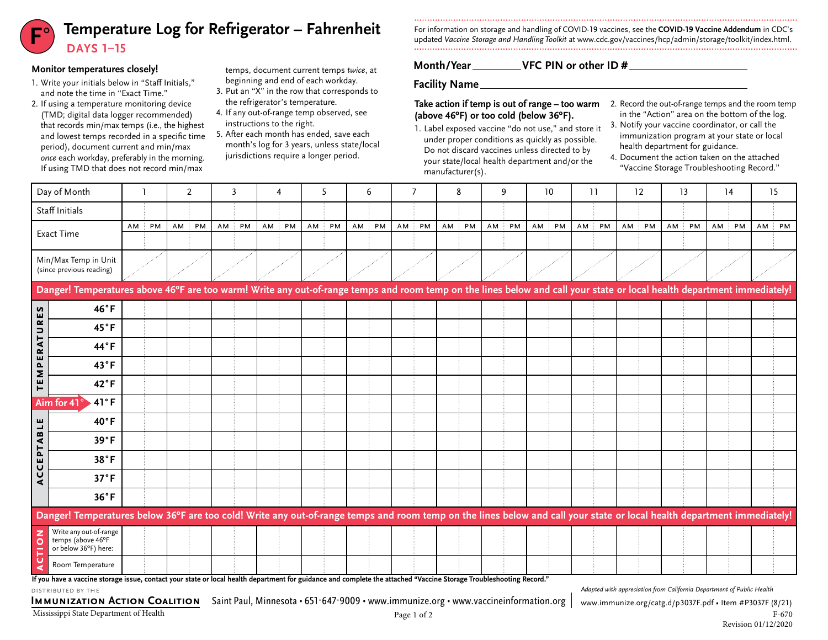### Temperature Log for Refrigerator – Fahrenheit For information on storage and handling of COVID-19 vaccines, see the COVID-19 vaccine Addendum in CDC's<br>updated *Vaccine Storage and Handling Toolkit at www.cdc.gov*/vaccines/ **DAYS 1–15**

#### **Monitor temperatures closely!**

- 1. Write your initials below in "Staff Initials," and note the time in "Exact Time."
- 2. If using a temperature monitoring device (TMD; digital data logger recommended) that records min/max temps (i.e., the highest and lowest temps recorded in a specific time period), document current and min/max *once* each workday, preferably in the morning. If using TMD that does not record min/max
- temps, document current temps *twice*, at beginning and end of each workday.
- 3. Put an "X" in the row that corresponds to the refrigerator's temperature.
- 4. If any out-of-range temp observed, see instructions to the right.
- 5. After each month has ended, save each month's log for 3 years, unless state/local jurisdictions require a longer period.

For information on storage and handling of COVID-19 vaccines, see the **COVID-19 Vaccine Addendum** in CDC's

#### **Month/Year VFC PIN or other ID #**

**Facility Name**

# **(above 46ºF) or too cold (below 36ºF).**

- 1. Label exposed vaccine "do not use," and store it under proper conditions as quickly as possible. Do not discard vaccines unless directed to by your state/local health department and/or the manufacturer(s).
- **Take action if temp is out of range too warm**  $\;$  2. Record the out-of-range temps and the room temp in the "Action" area on the bottom of the log.
	- 3. Notify your vaccine coordinator, or call the immunization program at your state or local health department for guidance.
	- 4. Document the action taken on the attached "Vaccine Storage Troubleshooting Record."

|                    | Day of Month                                                                                                                                                                          |      |    |    | 2  | 3     |    |    | 5  |    |    | 6  |    |    | 8     |    | 9  |    | 10 |        | 11 |    | 12 | 13    | 14 |    | 15 |    |
|--------------------|---------------------------------------------------------------------------------------------------------------------------------------------------------------------------------------|------|----|----|----|-------|----|----|----|----|----|----|----|----|-------|----|----|----|----|--------|----|----|----|-------|----|----|----|----|
|                    | Staff Initials                                                                                                                                                                        |      |    |    |    |       |    |    |    |    |    |    |    |    |       |    |    |    |    |        |    |    |    |       |    |    |    |    |
|                    | <b>Exact Time</b>                                                                                                                                                                     | AM : | PM | AM | PM | AM PM | AM | PM | AM | PM | AM | PM | AM | PM | AM PM | AM | PM | AM | PM | $AM$ : | PM | AM | PM | AM PM | AM | PM | AM | PM |
|                    | Min/Max Temp in Unit<br>(since previous reading)                                                                                                                                      |      |    |    |    |       |    |    |    |    |    |    |    |    |       |    |    |    |    |        |    |    |    |       |    |    |    |    |
|                    | Danger! Temperatures above 46°F are too warm! Write any out-of-range temps and room temp on the lines below and call your state or local health department immediately!               |      |    |    |    |       |    |    |    |    |    |    |    |    |       |    |    |    |    |        |    |    |    |       |    |    |    |    |
| n                  | 46°F                                                                                                                                                                                  |      |    |    |    |       |    |    |    |    |    |    |    |    |       |    |    |    |    |        |    |    |    |       |    |    |    |    |
| <b>TEMPERATURE</b> | 45°F                                                                                                                                                                                  |      |    |    |    |       |    |    |    |    |    |    |    |    |       |    |    |    |    |        |    |    |    |       |    |    |    |    |
|                    | 44°F                                                                                                                                                                                  |      |    |    |    |       |    |    |    |    |    |    |    |    |       |    |    |    |    |        |    |    |    |       |    |    |    |    |
|                    | 43°F                                                                                                                                                                                  |      |    |    |    |       |    |    |    |    |    |    |    |    |       |    |    |    |    |        |    |    |    |       |    |    |    |    |
|                    | $42^{\circ}F$                                                                                                                                                                         |      |    |    |    |       |    |    |    |    |    |    |    |    |       |    |    |    |    |        |    |    |    |       |    |    |    |    |
|                    | 41°F<br>Aim for 41                                                                                                                                                                    |      |    |    |    |       |    |    |    |    |    |    |    |    |       |    |    |    |    |        |    |    |    |       |    |    |    |    |
|                    | 40°F                                                                                                                                                                                  |      |    |    |    |       |    |    |    |    |    |    |    |    |       |    |    |    |    |        |    |    |    |       |    |    |    |    |
| ACCEPTABLE         | 39°F                                                                                                                                                                                  |      |    |    |    |       |    |    |    |    |    |    |    |    |       |    |    |    |    |        |    |    |    |       |    |    |    |    |
|                    | 38°F                                                                                                                                                                                  |      |    |    |    |       |    |    |    |    |    |    |    |    |       |    |    |    |    |        |    |    |    |       |    |    |    |    |
|                    | 37°F                                                                                                                                                                                  |      |    |    |    |       |    |    |    |    |    |    |    |    |       |    |    |    |    |        |    |    |    |       |    |    |    |    |
|                    | $36^{\circ}F$                                                                                                                                                                         |      |    |    |    |       |    |    |    |    |    |    |    |    |       |    |    |    |    |        |    |    |    |       |    |    |    |    |
|                    | Danger! Temperatures below 36°F are too cold! Write any out-of-range temps and room temp on the lines below and call your state or local health department immediately!               |      |    |    |    |       |    |    |    |    |    |    |    |    |       |    |    |    |    |        |    |    |    |       |    |    |    |    |
| CTION              | Write any out-of-range<br>temps (above 46°F<br>or below 36°F) here:                                                                                                                   |      |    |    |    |       |    |    |    |    |    |    |    |    |       |    |    |    |    |        |    |    |    |       |    |    |    |    |
| ∢                  | Room Temperature<br>If you have a vaccine storage issue contact your state or local health denartment for guidance and complete the attached "Vaccine Storage Troubleshooting Record" |      |    |    |    |       |    |    |    |    |    |    |    |    |       |    |    |    |    |        |    |    |    |       |    |    |    |    |

**contact your state or local health department for guidance and complete the attached "Vaccine Storage Troubleshooting Record." If you have a vaccine storage issue,** 

distributed by the

IMMUNIZATION ACTION COALITION Saint Paul, Minnesota • 651-647-9009 • www.immunize.org • [www.vaccineinformation.org](http://www.vaccineinformation.org) | [www.immunize.org/catg.d/](http://www.immunize.org/catg.d/p3037F.pdf)p3037F.pdf • Item #P3037F (8/21)

*Adapted with appreciation from California Department of Public Health*

Mississippi State Department of Health F-670 F-670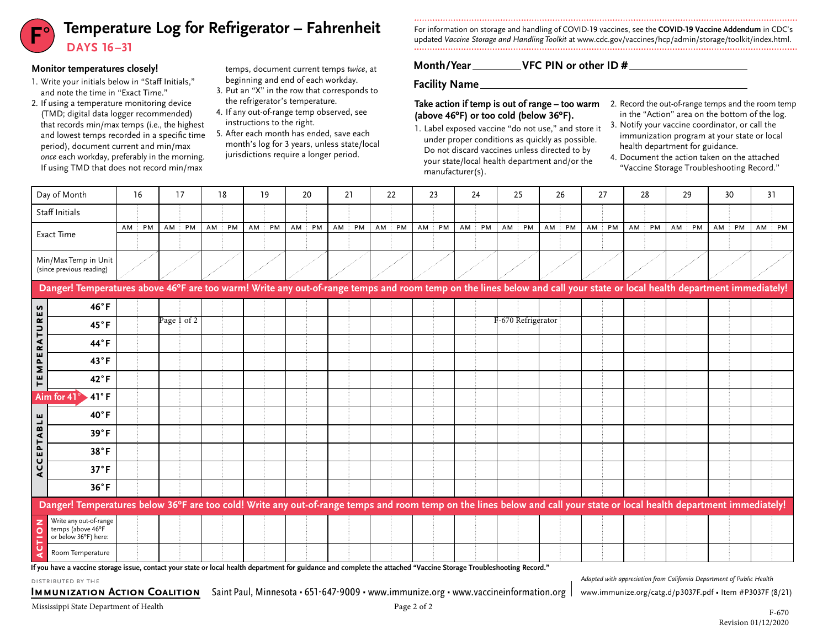# **F**° Temperature Log for Refrigerator – Fahrenheit<br>DAYS 16-31

#### **Monitor temperatures closely!**

- 1. Write your initials below in "Staff Initials," and note the time in "Exact Time."
- 2. If using a temperature monitoring device (TMD; digital data logger recommended) that records min/max temps (i.e., the highest and lowest temps recorded in a specific time period), document current and min/max *once* each workday, preferably in the morning. If using TMD that does not record min/max
- temps, document current temps *twice*, at beginning and end of each workday.
- 3. Put an "X" in the row that corresponds to the refrigerator's temperature.
- 4. If any out-of-range temp observed, see instructions to the right.
- 5. After each month has ended, save each month's log for 3 years, unless state/local jurisdictions require a longer period.

For information on storage and handling of COVID-19 vaccines, see the **COVID-19 Vaccine Addendum** in CDC's updated *Vaccine Storage and Handling Toolkit* at [www.cdc.gov/vaccines/hcp/admin/storage/toolkit/index.html](http://www.cdc.gov/vaccines/hcp/admin/storage/toolkit/index.html).

#### **Month/Year VFC PIN or other ID #**

**Facility Name**

# **(above 46ºF) or too cold (below 36ºF).**

- 1. Label exposed vaccine "do not use," and store it under proper conditions as quickly as possible. Do not discard vaccines unless directed to by your state/local health department and/or the manufacturer(s).
- **Take action if temp is out of range too warm**  $\;$  2. Record the out-of-range temps and the room temp in the "Action" area on the bottom of the log.
	- 3. Notify your vaccine coordinator, or call the immunization program at your state or local health department for guidance.
	- 4. Document the action taken on the attached "Vaccine Storage Troubleshooting Record."

|                     | Day of Month                                                                                                                                                            | 16    | 17          | 18 | 19    | 20 | 21 | 22 | 23 | 24                                                    | 25                | 26 | 27 | 28 | 29          | 30    | 31    |
|---------------------|-------------------------------------------------------------------------------------------------------------------------------------------------------------------------|-------|-------------|----|-------|----|----|----|----|-------------------------------------------------------|-------------------|----|----|----|-------------|-------|-------|
|                     | Staff Initials                                                                                                                                                          |       |             |    |       |    |    |    |    |                                                       |                   |    |    |    |             |       |       |
| Exact Time          |                                                                                                                                                                         | AM PM | AM PM AM PM |    | AM PM |    |    |    |    | AM PM AM PM AM PM AM PM AM PM AM PM AM PM AM PM AM PM |                   |    |    |    | AM PM AM PM | AM PM | AM PM |
|                     |                                                                                                                                                                         |       |             |    |       |    |    |    |    |                                                       |                   |    |    |    |             |       |       |
|                     | Min/Max Temp in Unit<br>(since previous reading)                                                                                                                        |       |             |    |       |    |    |    |    |                                                       |                   |    |    |    |             |       |       |
|                     | Danger! Temperatures above 46°F are too warm! Write any out-of-range temps and room temp on the lines below and call your state or local health department immediately! |       |             |    |       |    |    |    |    |                                                       |                   |    |    |    |             |       |       |
|                     | 46°F                                                                                                                                                                    |       |             |    |       |    |    |    |    |                                                       |                   |    |    |    |             |       |       |
|                     | $45^{\circ}$ F                                                                                                                                                          |       | Page 1 of 2 |    |       |    |    |    |    |                                                       | -670 Refrigerator |    |    |    |             |       |       |
| <b>TEMPERATURES</b> | $44^{\circ}F$                                                                                                                                                           |       |             |    |       |    |    |    |    |                                                       |                   |    |    |    |             |       |       |
|                     | $43^{\circ}$ F                                                                                                                                                          |       |             |    |       |    |    |    |    |                                                       |                   |    |    |    |             |       |       |
|                     | $42^{\circ}F$                                                                                                                                                           |       |             |    |       |    |    |    |    |                                                       |                   |    |    |    |             |       |       |
|                     | $.41^{\circ}$ F<br>Aim for 41 $\degree$                                                                                                                                 |       |             |    |       |    |    |    |    |                                                       |                   |    |    |    |             |       |       |
|                     | $40^{\circ}$ F                                                                                                                                                          |       |             |    |       |    |    |    |    |                                                       |                   |    |    |    |             |       |       |
| CCEPTABLE           | 39°F                                                                                                                                                                    |       |             |    |       |    |    |    |    |                                                       |                   |    |    |    |             |       |       |
|                     | 38°F                                                                                                                                                                    |       |             |    |       |    |    |    |    |                                                       |                   |    |    |    |             |       |       |
|                     | 37°F                                                                                                                                                                    |       |             |    |       |    |    |    |    |                                                       |                   |    |    |    |             |       |       |
| ๔                   | $36^{\circ}$ F                                                                                                                                                          |       |             |    |       |    |    |    |    |                                                       |                   |    |    |    |             |       |       |
|                     | Danger! Temperatures below 36°F are too cold! Write any out-of-range temps and room temp on the lines below and call your state or local health department immediately! |       |             |    |       |    |    |    |    |                                                       |                   |    |    |    |             |       |       |
| z<br>$\circ$<br>-   | Write any out-of-range<br>temps (above 46°F<br>or below 36°F) here:                                                                                                     |       |             |    |       |    |    |    |    |                                                       |                   |    |    |    |             |       |       |
|                     | Room Temperature                                                                                                                                                        |       |             |    |       |    |    |    |    |                                                       |                   |    |    |    |             |       |       |
|                     |                                                                                                                                                                         |       |             |    |       |    |    |    |    |                                                       |                   |    |    |    |             |       |       |

**If you have a vaccine storage issue, contact your state or local health department for guidance and complete the attached "Vaccine Storage Troubleshooting Record."**

distributed by the

**IMMUNIZATION ACTION COALITION** Saint Paul, Minnesota • 651-647-9009 • [www.immunize.org](http://www.immunize.org) • [www.vaccineinformation.org](http://www.vaccineinformation.org) | [www.immunize.org/catg.d/](http://www.immunize.org/catg.d/p3037F.pdf)p3037F.pdf • Item #P3037F (8/21)

*Adapted with appreciation from California Department of Public Health*

Mississippi State Department of Health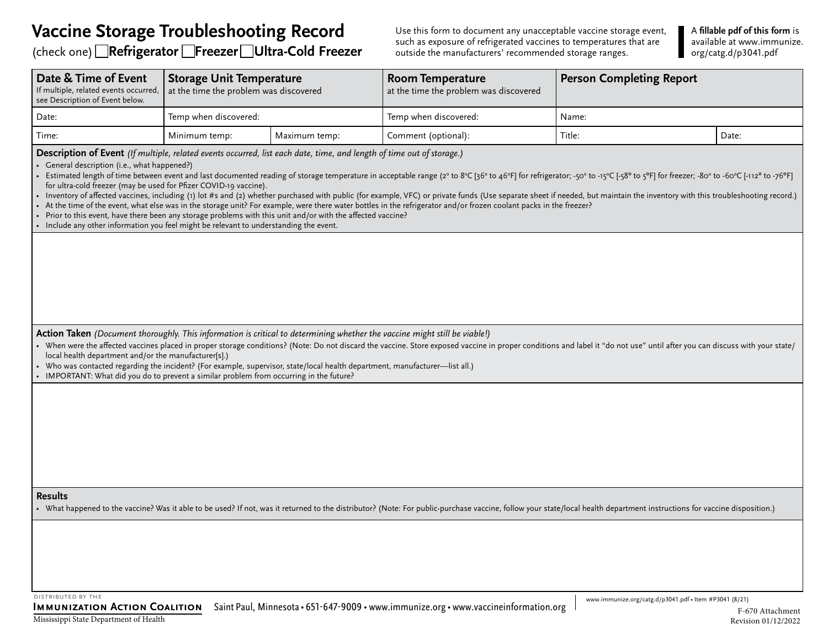## **Vaccine Storage Troubleshooting Record**

(check one) **Refrigerator Freezer Ultra-Cold Freezer**

Use this form to document any unacceptable vaccine storage event, such as exposure of refrigerated vaccines to temperatures that are outside the manufacturers' recommended storage ranges.

A **fillable pdf of this form** is available at [www.immunize.](http://www.immunize.org/catg.d/p3041.pdf) [org/catg.d/p3041.pdf](http://www.immunize.org/catg.d/p3041.pdf)

| Date & Time of Event<br>If multiple, related events occurred,<br>see Description of Event below.                                                                                                                                                                                                                                                                                                                                                                                                                                                                                                                                                                                                                                                                                                                                                                                                                                                                                                                                                                                       | <b>Storage Unit Temperature</b><br>at the time the problem was discovered |               | <b>Room Temperature</b><br>at the time the problem was discovered                                                                                                                                                         | <b>Person Completing Report</b> |       |  |  |  |
|----------------------------------------------------------------------------------------------------------------------------------------------------------------------------------------------------------------------------------------------------------------------------------------------------------------------------------------------------------------------------------------------------------------------------------------------------------------------------------------------------------------------------------------------------------------------------------------------------------------------------------------------------------------------------------------------------------------------------------------------------------------------------------------------------------------------------------------------------------------------------------------------------------------------------------------------------------------------------------------------------------------------------------------------------------------------------------------|---------------------------------------------------------------------------|---------------|---------------------------------------------------------------------------------------------------------------------------------------------------------------------------------------------------------------------------|---------------------------------|-------|--|--|--|
| Date:                                                                                                                                                                                                                                                                                                                                                                                                                                                                                                                                                                                                                                                                                                                                                                                                                                                                                                                                                                                                                                                                                  | Temp when discovered:                                                     |               | Temp when discovered:                                                                                                                                                                                                     | Name:                           |       |  |  |  |
| Time:                                                                                                                                                                                                                                                                                                                                                                                                                                                                                                                                                                                                                                                                                                                                                                                                                                                                                                                                                                                                                                                                                  | Minimum temp:                                                             | Maximum temp: | Comment (optional):                                                                                                                                                                                                       | Title:                          | Date: |  |  |  |
| Description of Event (If multiple, related events occurred, list each date, time, and length of time out of storage.)<br>General description (i.e., what happened?)<br>Estimated length of time between event and last documented reading of storage temperature in acceptable range (2° to 8°C [36° to 46°F] for refrigerator; -50° to -15°C [-38° to 3°F] for freezer; -80° to -60°C [-112° to -76<br>for ultra-cold freezer (may be used for Pfizer COVID-19 vaccine).<br>Inventory of affected vaccines, including (1) lot #s and (2) whether purchased with public (for example, VFC) or private funds (Use separate sheet if needed, but maintain the inventory with this troubleshooting record.)<br>At the time of the event, what else was in the storage unit? For example, were there water bottles in the refrigerator and/or frozen coolant packs in the freezer?<br>Prior to this event, have there been any storage problems with this unit and/or with the affected vaccine?<br>• Include any other information you feel might be relevant to understanding the event. |                                                                           |               |                                                                                                                                                                                                                           |                                 |       |  |  |  |
| Action Taken (Document thoroughly. This information is critical to determining whether the vaccine might still be viable!)<br>local health department and/or the manufacturer[s].)                                                                                                                                                                                                                                                                                                                                                                                                                                                                                                                                                                                                                                                                                                                                                                                                                                                                                                     |                                                                           |               | When were the affected vaccines placed in proper storage conditions? (Note: Do not discard the vaccine. Store exposed vaccine in proper conditions and label it "do not use" until after you can discuss with your state/ |                                 |       |  |  |  |
| Who was contacted regarding the incident? (For example, supervisor, state/local health department, manufacturer-list all.)<br>IMPORTANT: What did you do to prevent a similar problem from occurring in the future?                                                                                                                                                                                                                                                                                                                                                                                                                                                                                                                                                                                                                                                                                                                                                                                                                                                                    |                                                                           |               |                                                                                                                                                                                                                           |                                 |       |  |  |  |
|                                                                                                                                                                                                                                                                                                                                                                                                                                                                                                                                                                                                                                                                                                                                                                                                                                                                                                                                                                                                                                                                                        |                                                                           |               |                                                                                                                                                                                                                           |                                 |       |  |  |  |
| <b>Results</b>                                                                                                                                                                                                                                                                                                                                                                                                                                                                                                                                                                                                                                                                                                                                                                                                                                                                                                                                                                                                                                                                         |                                                                           |               | What happened to the vaccine? Was it able to be used? If not, was it returned to the distributor? (Note: For public-purchase vaccine, follow your state/local health department instructions for vaccine disposition.)    |                                 |       |  |  |  |
|                                                                                                                                                                                                                                                                                                                                                                                                                                                                                                                                                                                                                                                                                                                                                                                                                                                                                                                                                                                                                                                                                        |                                                                           |               |                                                                                                                                                                                                                           |                                 |       |  |  |  |

distributed by the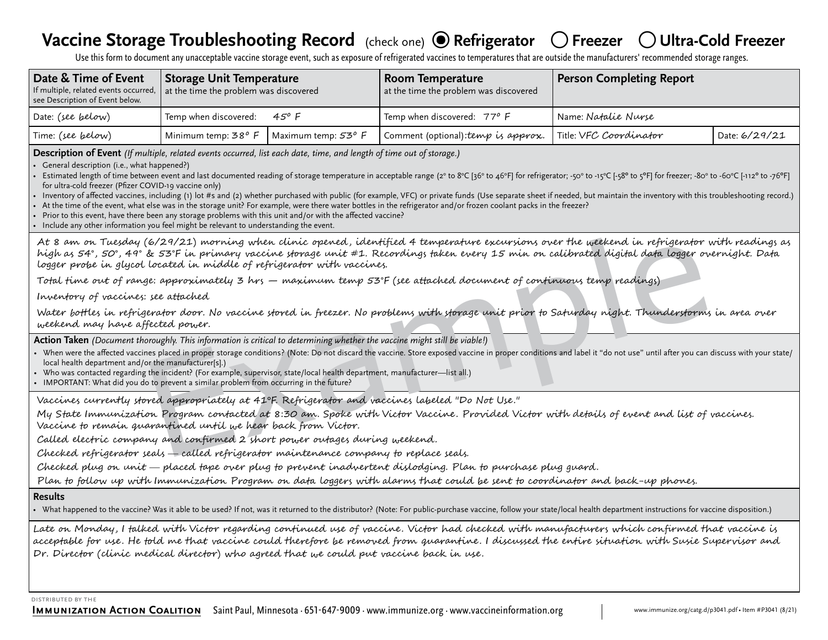# **Vaccine Storage Troubleshooting Record** (check one) ● Refrigerator ○Freezer ○Ultra-Cold Freezer

Use this form to document any unacceptable vaccine storage event, such as exposure of refrigerated vaccines to temperatures that are outside the manufacturers' recommended storage ranges.

| Date & Time of Event<br>If multiple, related events occurred, at the time the problem was discovered<br>see Description of Event below. | <b>Storage Unit Temperature</b> |                     | <b>Room Temperature</b><br>at the time the problem was discovered | <b>Person Completing Report</b> |               |  |  |  |
|-----------------------------------------------------------------------------------------------------------------------------------------|---------------------------------|---------------------|-------------------------------------------------------------------|---------------------------------|---------------|--|--|--|
| Date: (see below)                                                                                                                       | Temp when discovered:           | 45° F               | Temp when discovered: 77° F                                       | Name: Natalie Nurse             |               |  |  |  |
| Time: (see below)                                                                                                                       | Minimum temp: 38 <sup>o</sup> F | Maximum temp: 53° F | Comment (optional): temp is approx.                               | Title: VFC Coordinator          | Date: 6/29/21 |  |  |  |

**Description of Event** *(If multiple, related events occurred, list each date, time, and length of time out of storage.)*

• General description (i.e., what happened?)

• Estimated length of time between event and last documented reading of storage temperature in acceptable range (2° to 8°C [36° to 46°F] for refrigerator; -50° to -15°C [-38° to 5°F] for freezer; -80° to -60°C [-112° to for ultra-cold freezer (Pfizer COVID-19 vaccine only)

• Inventory of affected vaccines, including (1) lot #s and (2) whether purchased with public (for example, VFC) or private funds (Use separate sheet if needed, but maintain the inventory with this troubleshooting record.)

• At the time of the event, what else was in the storage unit? For example, were there water bottles in the refrigerator and/or frozen coolant packs in the freezer?

• Prior to this event, have there been any storage problems with this unit and/or with the affected vaccine?

• Include any other information you feel might be relevant to understanding the event.

6/24/21) morning which climic opered, identified 4 temperature excursions over the useleend in refriderator v<br>is 57°F in primary vaccine shrape unit #1. Recordings taken every 15 min on calibrated digital data logger over<br> At 8 am on Tuesday (6/29/21) morning when clinic opened , identified 4 temperature excursions over the weekend in refrigerator with readings as high as 54°, 50°, 49° & 53°F in primary vaccine storage unit #1. Recordings taken every 15 min on calibrated digital data logger overnight. Data logger probe in glycol located in middle of refrigerator with vaccines.

Total time out of range: approximately 3 hrs — maximum temp 53°F (see attached document of continuous temp readings)

Inventory of vaccines: see attached

Water bottles in refrigerator door. No vaccine stored in freezer. No problems with storage unit prior to Saturday night. Thunderstorms in area over weekend may have affected power.

**Action Taken** *(Document thoroughly. This information is critical to determining whether the vaccine might still be viable!)* 

- When were the affected vaccines placed in proper storage conditions? (Note: Do not discard the vaccine. Store exposed vaccine in proper conditions and label it "do not use" until after you can discuss with your state/ local health department and/or the manufacturer[s].)
- Who was contacted regarding the incident? (For example, supervisor, state/local health department, manufacturer—list all.)
- IMPORTANT: What did you do to prevent a similar problem from occurring in the future?

Vaccines currently stored appropriately at 41ºF. Refrigerator and vaccines labeled "Do Not Use."

My State Immunization Program contacted at 8:30 am. Spoke with Victor Vaccine. Provided Victor with details of event and list of vaccines. Vaccine to remain quarantined until we hear back from Victor.

Called electric company and confirmed 2 short power outages during weekend.

Checked refrigerator seals called refrigerator maintenance company to replace seals.

Checked plug on unit placed tape over plug to prevent inadvertent dislodging. Plan to purchase plug guard.

Plan to follow up with Immunization Program on data loggers with alarms that could be sent to coordinator and back-up phones.

#### **Results**

• What happened to the vaccine? Was it able to be used? If not, was it returned to the distributor? (Note: For public-purchase vaccine, follow your state/local health department instructions for vaccine disposition.)

Late on Monday, I talked with Victor regarding continued use of vaccine. Victor had checked with manufacturers which confirmed that vaccine is acceptable for use. He told me that vaccine could therefore be removed from quarantine. I discussed the entire situation with Susie Supervisor and Dr. Director (clinic medical director) who agreed that we could put vaccine back in use.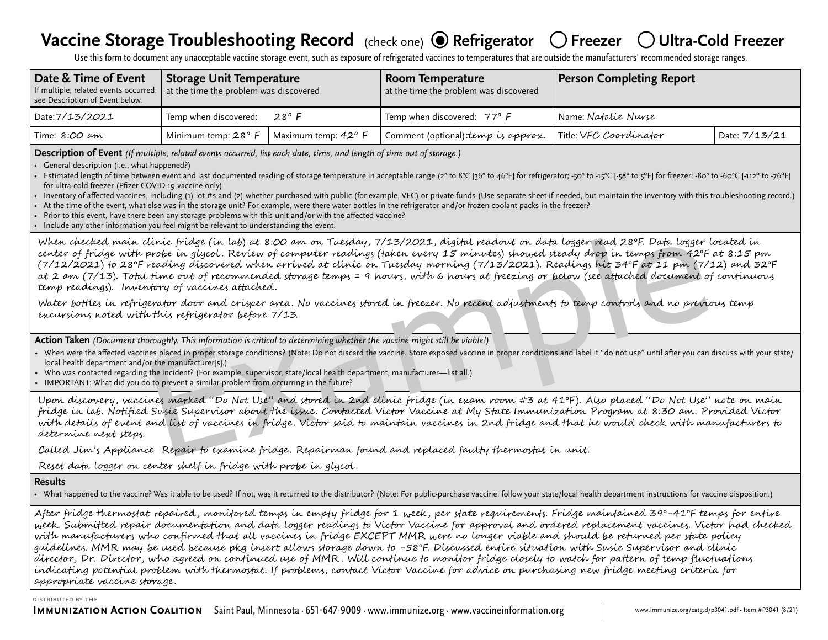# **Vaccine Storage Troubleshooting Record** (check one) ● Refrigerator ○ Freezer ○ Ultra-Cold Freezer

Use this form to document any unacceptable vaccine storage event, such as exposure of refrigerated vaccines to temperatures that are outside the manufacturers' recommended storage ranges.

| Date & Time of Event<br>If multiple, related events occurred, at the time the problem was discovered<br>see Description of Event below. | <b>Storage Unit Temperature</b>      |                     | Room Temperature<br>at the time the problem was discovered | Person Completing Report   |               |  |  |  |
|-----------------------------------------------------------------------------------------------------------------------------------------|--------------------------------------|---------------------|------------------------------------------------------------|----------------------------|---------------|--|--|--|
| Date: 7/13/2021                                                                                                                         | Temp when discovered: $28^{\circ}$ F |                     | Temp when discovered: 77° F                                | Name: <i>Natalie Nurse</i> |               |  |  |  |
| Time: 8 <i>:00 am</i>                                                                                                                   | Minimum temp: $28^{\circ}$ F         | Maximum temp: 42° F | Comment (optional): temp is approx.                        | Title: VFC Coordinator     | Date: 7/13/21 |  |  |  |

**Description of Event** *(If multiple, related events occurred, list each date, time, and length of time out of storage.)*

• General description (i.e., what happened?)

• Estimated length of time between event and last documented reading of storage temperature in acceptable range (2° to 8°C [36° to 46°F] for refrigerator; -50° to -15°C [-38° to 5°F] for freezer; -80° to -60°C [-112° to for ultra-cold freezer (Pfizer COVID-19 vaccine only)

Inventory of affected vaccines, including (1) lot #s and (2) whether purchased with public (for example, VFC) or private funds (Use separate sheet if needed, but maintain the inventory with this troubleshooting record.)

• At the time of the event, what else was in the storage unit? For example, were there water bottles in the refrigerator and/or frozen coolant packs in the freezer?

• Prior to this event, have there been any storage problems with this unit and/or with the affected vaccine?

• Include any other information you feel might be relevant to understanding the event.

inic fridge (in lab) at 8:00 am on Tuesday, 7/13/2021, digital readont on data logger read 28°F. Data information fridger (in detailed read in the film of the film of the film of the computer readings (taken every 125/2021 When checked main clinic fridge (in lab) at 8:00 am on Tuesday, 7/13/2021, digital readout on data logger read 28ºF. Data logger located in center of fridge with probe in glycol . Review of computer readings (taken every 15 minutes) showed steady drop in temps from 42ºF at 8:15 pm (7/12/2021) to 28ºF reading discovered when arrived at clinic on Tuesday morning (7/13/2021). Readings hit 34ºF at 11 pm (7/12) and 32ºF at 2 am (7/13). Total time out of recommended storage temps = 9 hours, with 6 hours at freezing or below (see attached document of continuous temp readings). Inventory of vaccines attached.

Water bottles in refrigerator door and crisper area. No vaccines stored in freezer. No recent adjustments to temp controls and no previous temp excursions noted with this refrigerator before 7/13.

**Action Taken** *(Document thoroughly. This information is critical to determining whether the vaccine might still be viable!)* 

- When were the affected vaccines placed in proper storage conditions? (Note: Do not discard the vaccine. Store exposed vaccine in proper conditions and label it "do not use" until after you can discuss with your state/ local health department and/or the manufacturer[s].)
- Who was contacted regarding the incident? (For example, supervisor, state/local health department, manufacturer—list all.)
- IMPORTANT: What did you do to prevent a similar problem from occurring in the future?

Upon discovery, vaccines marked "Do Not Use" and stored in 2nd clinic fridge (in exam room #3 at 41ºF ). Also placed "Do Not Use" note on main fridge in lab. Notified Susie Supervisor about the issue. Contacted Victor Vaccine at My State Immunization Program at 8:30 am. Provided Victor with details of event and list of vaccines in fridge. Victor said to maintain vaccines in 2nd fridge and that he would check with manufacturers to determine next steps.

Called Jim's Appliance Repair to examine fridge. Repairman found and replaced faulty thermostat in unit.

Reset data logger on center shelf in fridge with probe in glycol .

#### **Results**

• What happened to the vaccine? Was it able to be used? If not, was it returned to the distributor? (Note: For public-purchase vaccine, follow your state/local health department instructions for vaccine disposition.)

After fridge thermostat repaired , monitored temps in empty fridge for 1 week , per state requirements. Fridge maintained 39º-41ºF temps for entire week. Submitted repair documentation and data logger readings to Victor Vaccine for approval and ordered replacement vaccines. Victor had checked with manufacturers who confirmed that all vaccines in fridge EXCEPT MMR were no longer viable and should be returned per state policy guidelines. MMR may be used because pkg insert allows storage down to -58ºF. Discussed entire situation with Susie Supervisor and clinic director, Dr. Director, who agreed on continued use of MMR . Will continue to monitor fridge closely to watch for pattern of temp fluctuations indicating potential problem with thermostat. If problems, contact Victor Vaccine for advice on purchasing new fridge meeting criteria for appropriate vaccine storage.

#### distributed by the